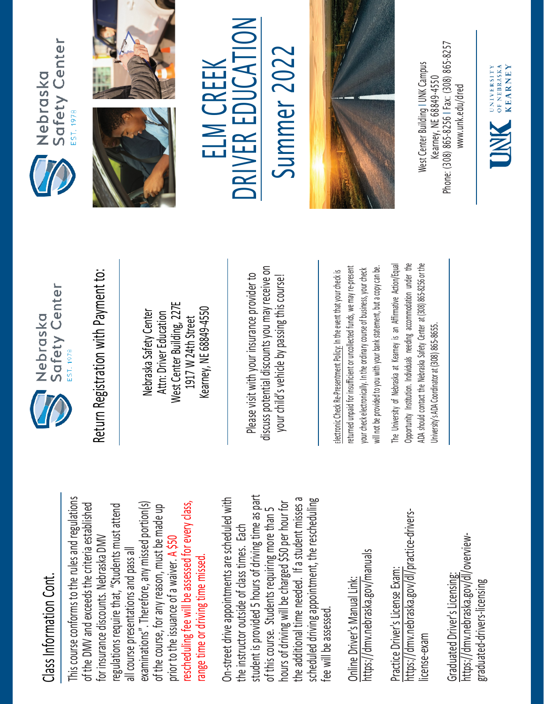## Class Information Cont. Class Information Cont.

This course conforms to the rules and regulations This course conforms to the rules and regulations rescheduling fee will be assessed for every class, examinations". Therefore, any missed portion(s) of the DMV and exceeds the criteria established regulations require that, "Students must attend rescheduling fee will be assessed for every class, of the DMV and exceeds the criteria established examinations". Therefore, any missed portion(s) of the course, for any reason, must be made up regulations require that, "Students must attend of the course, for any reason, must be made up for insurance discounts. Nebraska DMV for insurance discounts. Nebraska DMV prior to the issuance of a waiver. A \$50 all course presentations and pass all all course presentations and pass all range time or driving time missed. range time or driving time missed. prior to the issuance of a waiver.

student is provided 5 hours of driving time as part On-street drive appointments are scheduled with student is provided 5 hours of driving time as part the additional time needed. If a student misses a scheduled driving appointment, the rescheduling the additional time needed. If a student misses a On-street drive appointments are scheduled with hours of driving will be charged \$50 per hour for hours of driving will be charged \$50 per hour for scheduled driving appointment, the rescheduling of this course. Students requiring more than 5 of this course. Students requiring more than 5 the instructor outside of class times. Each the instructor outside of class times. Each fee will be assessed. fee will be assessed

https://dmv.nebraska.gov/manuals https://dmv.nebraska.gov/manuals Online Driver's Manual Link: Online Driver's Manual Link:

https://dmv.nebraska.gov/dl/practice-drivershttps://dmv.nebraska.gov/dl/practice-drivers-Practice Driver's License Exam: Practice Driver's License Exam: license-exam icense-exam

https://dmv.nebraska.gov/dl/overviewhttps://dmv.nebraska.gov/dl/overview-Graduated Driver's Licensing: Graduated Driver's Licensing: graduated-drivers-licensing graduated-drivers-licensing



Nebraska Safety Center Attn: Driver Education West Center Building, 227E 1917 W 24th Street Kearney, NE 68849-4550

Please visit with your insurance provider to discuss potential discounts you may receive on your child's vehicle by passing this course! Return Registration with Payment to:<br>
Nebraska Safety Center<br>
Attn: Driver Education<br>
1917 W 24th Street<br>
Rearney, NE 68849-4550<br>
Rease visit with your insurance provider to<br>
please visit with your insurance provider to<br>
y

returned unpaid for insufficient or uncollected funds, we may re-present a copy can be. returned unpaid for insufficient or uncollected funds, we may re-present will not be provided to you with your bank statement, but a copy can be. your check electronically. In the ordinary course of business, your check your check electronically. In the ordinary course of business, your check will not be provided to you with your bank statement, but

The University of Nebraska at Kearney is an Affirmative Action/Equal Opportunity Institution. Individuals needing accommodation under the ADA should contact the Nebraska Safety Center at (308) 865-8256 or the The University of Nebraska at Kearney is an Affirmative Action/Equal Opportunity Institution. Individuals needing accommodation under the ADA should contact the Nebraska Safety Center at (308) 865-8256 or the University's ADA Coordinator at (308) 865-8655. University's ADA Coordinator at (308) 86









 $\sum_{i=1}^{n}$ Summer 2022 ELM CREEK Summer 202 R EDUCA ELM CREEK E RIV **NC** 



Phone: (308) 865-8256 | Fax: (308) 865-8257 West Center Building I UNK Campus Nest Center Building I UNK Campus -8256 I Fax: (308) 865 Kearney, NE 68849-4550 www.unk.edu/dred [www.unk.edu/dred](http://www.unk.edu/dred) Kearney, NE 68849 Phone: (308) 865

UNIVERSITY<br>
OF NEBRASKA<br>
KFARNEY

**KEARNEY**